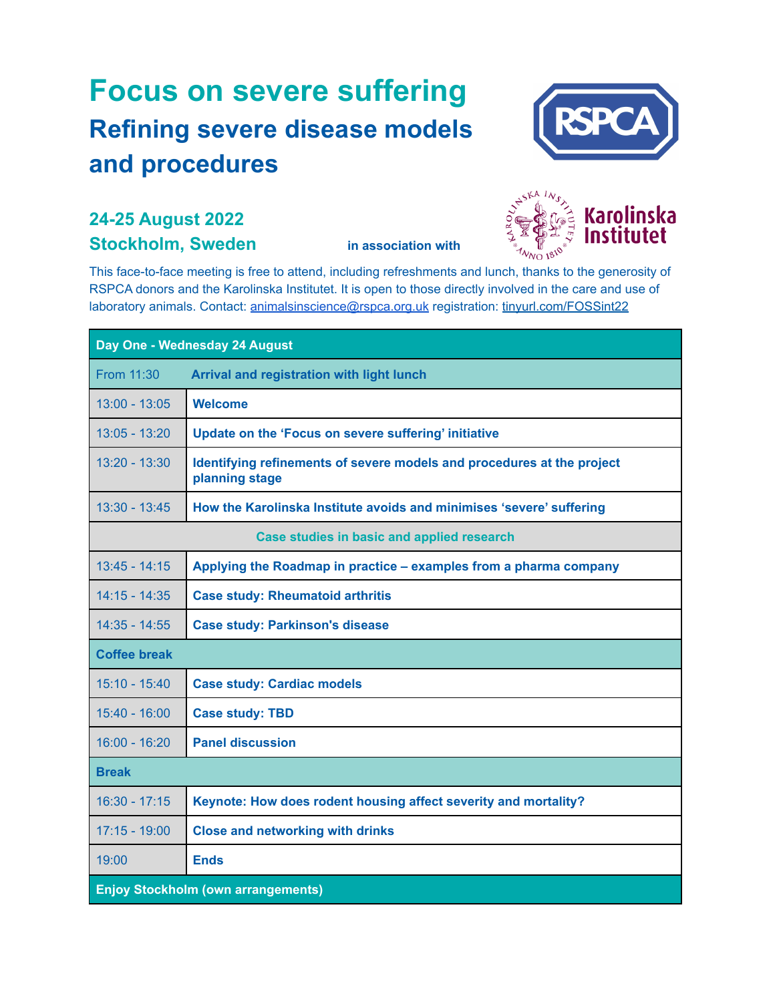## **Focus on severe suffering Refining severe disease models and procedures**



## **24-25 August 2022 Stockholm, Sweden in association with**



This face-to-face meeting is free to attend, including refreshments and lunch, thanks to the generosity of RSPCA donors and the Karolinska Institutet. It is open to those directly involved in the care and use of laboratory animals. Contact: [animalsinscience@rspca.org.uk](mailto:animalsinscience@rspca.org.uk) registration: [tinyurl.com/FOSSint22](https://tinyurl.com/FOSSint22)

| Day One - Wednesday 24 August              |                                                                                          |
|--------------------------------------------|------------------------------------------------------------------------------------------|
| From 11:30                                 | Arrival and registration with light lunch                                                |
| $13:00 - 13:05$                            | <b>Welcome</b>                                                                           |
| $13:05 - 13:20$                            | Update on the 'Focus on severe suffering' initiative                                     |
| $13:20 - 13:30$                            | Identifying refinements of severe models and procedures at the project<br>planning stage |
| $13:30 - 13:45$                            | How the Karolinska Institute avoids and minimises 'severe' suffering                     |
| Case studies in basic and applied research |                                                                                          |
| $13:45 - 14:15$                            | Applying the Roadmap in practice – examples from a pharma company                        |
| $14:15 - 14:35$                            | <b>Case study: Rheumatoid arthritis</b>                                                  |
| $14:35 - 14:55$                            | <b>Case study: Parkinson's disease</b>                                                   |
| <b>Coffee break</b>                        |                                                                                          |
| $15:10 - 15:40$                            | <b>Case study: Cardiac models</b>                                                        |
| $15:40 - 16:00$                            | <b>Case study: TBD</b>                                                                   |
| $16:00 - 16:20$                            | <b>Panel discussion</b>                                                                  |
| <b>Break</b>                               |                                                                                          |
| $16:30 - 17:15$                            | Keynote: How does rodent housing affect severity and mortality?                          |
| $17:15 - 19:00$                            | <b>Close and networking with drinks</b>                                                  |
| 19:00                                      | <b>Ends</b>                                                                              |
| <b>Enjoy Stockholm (own arrangements)</b>  |                                                                                          |